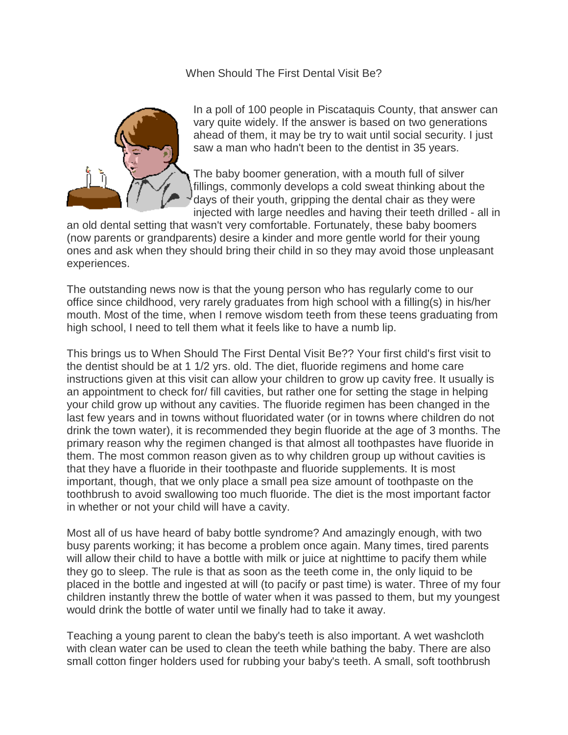When Should The First Dental Visit Be?



In a poll of 100 people in Piscataquis County, that answer can vary quite widely. If the answer is based on two generations ahead of them, it may be try to wait until social security. I just saw a man who hadn't been to the dentist in 35 years.

The baby boomer generation, with a mouth full of silver fillings, commonly develops a cold sweat thinking about the days of their youth, gripping the dental chair as they were injected with large needles and having their teeth drilled - all in

an old dental setting that wasn't very comfortable. Fortunately, these baby boomers (now parents or grandparents) desire a kinder and more gentle world for their young ones and ask when they should bring their child in so they may avoid those unpleasant experiences.

The outstanding news now is that the young person who has regularly come to our office since childhood, very rarely graduates from high school with a filling(s) in his/her mouth. Most of the time, when I remove wisdom teeth from these teens graduating from high school, I need to tell them what it feels like to have a numb lip.

This brings us to When Should The First Dental Visit Be?? Your first child's first visit to the dentist should be at 1 1/2 yrs. old. The diet, fluoride regimens and home care instructions given at this visit can allow your children to grow up cavity free. It usually is an appointment to check for/ fill cavities, but rather one for setting the stage in helping your child grow up without any cavities. The fluoride regimen has been changed in the last few years and in towns without fluoridated water (or in towns where children do not drink the town water), it is recommended they begin fluoride at the age of 3 months. The primary reason why the regimen changed is that almost all toothpastes have fluoride in them. The most common reason given as to why children group up without cavities is that they have a fluoride in their toothpaste and fluoride supplements. It is most important, though, that we only place a small pea size amount of toothpaste on the toothbrush to avoid swallowing too much fluoride. The diet is the most important factor in whether or not your child will have a cavity.

Most all of us have heard of baby bottle syndrome? And amazingly enough, with two busy parents working; it has become a problem once again. Many times, tired parents will allow their child to have a bottle with milk or juice at nighttime to pacify them while they go to sleep. The rule is that as soon as the teeth come in, the only liquid to be placed in the bottle and ingested at will (to pacify or past time) is water. Three of my four children instantly threw the bottle of water when it was passed to them, but my youngest would drink the bottle of water until we finally had to take it away.

Teaching a young parent to clean the baby's teeth is also important. A wet washcloth with clean water can be used to clean the teeth while bathing the baby. There are also small cotton finger holders used for rubbing your baby's teeth. A small, soft toothbrush